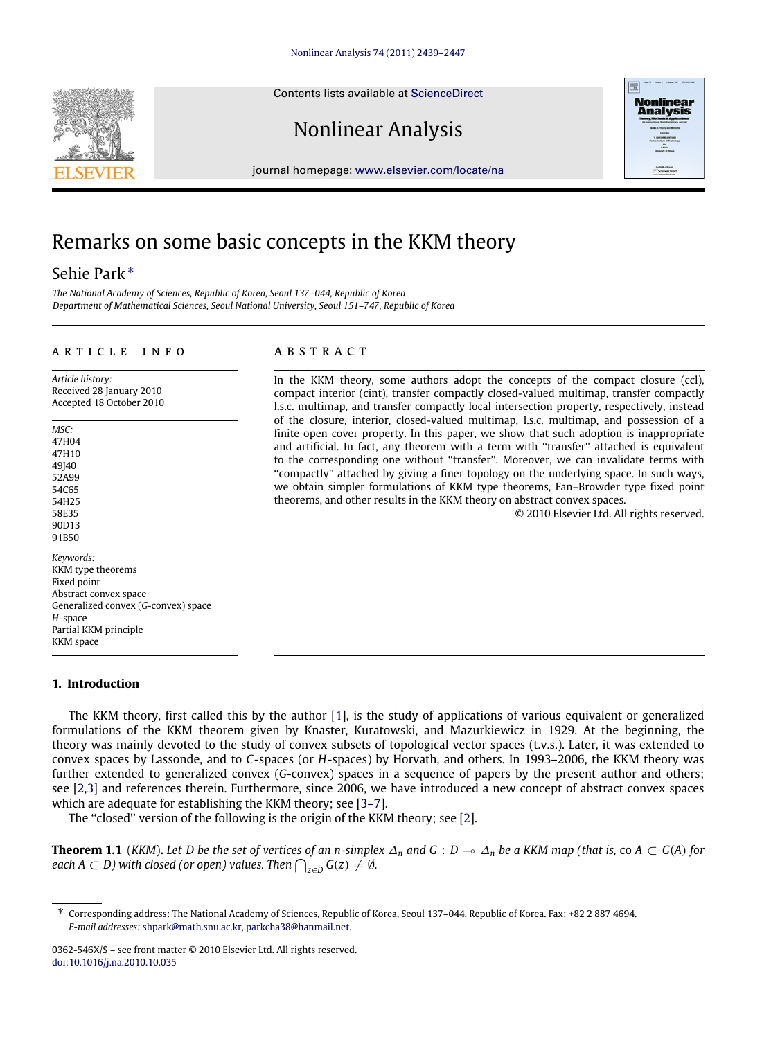Contents lists available at [ScienceDirect](http://www.elsevier.com/locate/na)

# Nonlinear Analysis

journal homepage: [www.elsevier.com/locate/na](http://www.elsevier.com/locate/na)

# Remarks on some basic concepts in the KKM theory

## Sehie Park[∗](#page-0-0)

*The National Academy of Sciences, Republic of Korea, Seoul 137–044, Republic of Korea Department of Mathematical Sciences, Seoul National University, Seoul 151–747, Republic of Korea*

#### ARTICLE INFO

*Article history:* Received 28 January 2010 Accepted 18 October 2010

*MSC:* 47H04

47H10 49140 52A99 54C65 54H25 58E35 90D13 91B50 *Keywords:* KKM type theorems Fixed point Abstract convex space Generalized convex (*G*-convex) space *H*-space Partial KKM principle KKM space

#### **1. Introduction**

The KKM theory, first called this by the author [\[1\]](#page-8-0), is the study of applications of various equivalent or generalized formulations of the KKM theorem given by Knaster, Kuratowski, and Mazurkiewicz in 1929. At the beginning, the theory was mainly devoted to the study of convex subsets of topological vector spaces (t.v.s.). Later, it was extended to convex spaces by Lassonde, and to *C*-spaces (or *H*-spaces) by Horvath, and others. In 1993–2006, the KKM theory was further extended to generalized convex (*G*-convex) spaces in a sequence of papers by the present author and others; see [\[2](#page-8-1)[,3\]](#page-8-2) and references therein. Furthermore, since 2006, we have introduced a new concept of abstract convex spaces which are adequate for establishing the KKM theory; see [\[3–7\]](#page-8-2).

<span id="page-0-1"></span>The "closed" version of the following is the origin of the KKM theory; see [\[2\]](#page-8-1).

**Theorem 1.1** (*KKM*). Let D be the set of vertices of an n-simplex  $\Delta_n$  and G :  $D \to \Delta_n$  be a KKM map (that is, co  $A \subset G(A)$  for  $\mathcal{L}(a \cap A \subset D)$  with closed (or open) values. Then  $\bigcap_{z \in D} G(z) \neq \emptyset$ .

### A B S T R A C T

In the KKM theory, some authors adopt the concepts of the compact closure (ccl), compact interior (cint), transfer compactly closed-valued multimap, transfer compactly l.s.c. multimap, and transfer compactly local intersection property, respectively, instead of the closure, interior, closed-valued multimap, l.s.c. multimap, and possession of a finite open cover property. In this paper, we show that such adoption is inappropriate and artificial. In fact, any theorem with a term with "transfer" attached is equivalent to the corresponding one without ''transfer''. Moreover, we can invalidate terms with ''compactly'' attached by giving a finer topology on the underlying space. In such ways, we obtain simpler formulations of KKM type theorems, Fan–Browder type fixed point theorems, and other results in the KKM theory on abstract convex spaces.

© 2010 Elsevier Ltd. All rights reserved.





<span id="page-0-0"></span><sup>∗</sup> Corresponding address: The National Academy of Sciences, Republic of Korea, Seoul 137–044, Republic of Korea. Fax: +82 2 887 4694. *E-mail addresses:* [shpark@math.snu.ac.kr,](mailto:shpark@math.snu.ac.kr) [parkcha38@hanmail.net.](mailto:parkcha38@hanmail.net)

<sup>0362-546</sup>X/\$ – see front matter © 2010 Elsevier Ltd. All rights reserved. [doi:10.1016/j.na.2010.10.035](http://dx.doi.org/10.1016/j.na.2010.10.035)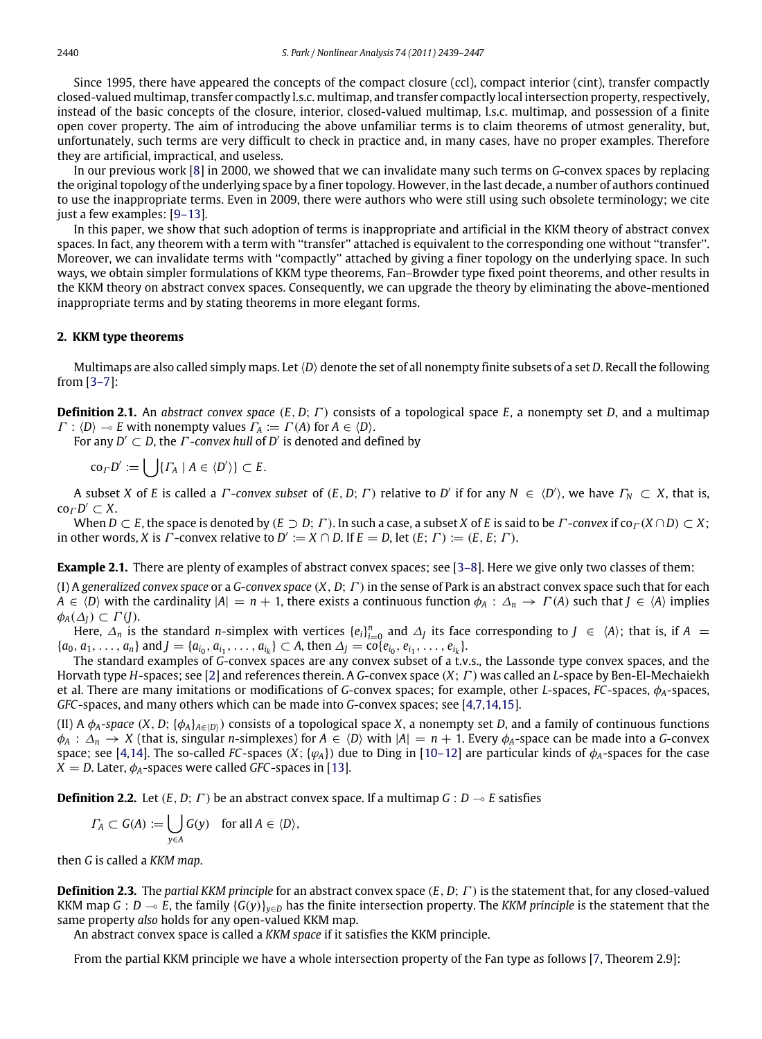Since 1995, there have appeared the concepts of the compact closure (ccl), compact interior (cint), transfer compactly closed-valued multimap, transfer compactly l.s.c. multimap, and transfer compactly local intersection property, respectively, instead of the basic concepts of the closure, interior, closed-valued multimap, l.s.c. multimap, and possession of a finite open cover property. The aim of introducing the above unfamiliar terms is to claim theorems of utmost generality, but, unfortunately, such terms are very difficult to check in practice and, in many cases, have no proper examples. Therefore they are artificial, impractical, and useless.

In our previous work [\[8\]](#page-8-3) in 2000, we showed that we can invalidate many such terms on *G*-convex spaces by replacing the original topology of the underlying space by a finer topology. However, in the last decade, a number of authors continued to use the inappropriate terms. Even in 2009, there were authors who were still using such obsolete terminology; we cite just a few examples: [\[9–13\]](#page-8-4).

In this paper, we show that such adoption of terms is inappropriate and artificial in the KKM theory of abstract convex spaces. In fact, any theorem with a term with ''transfer'' attached is equivalent to the corresponding one without ''transfer''. Moreover, we can invalidate terms with ''compactly'' attached by giving a finer topology on the underlying space. In such ways, we obtain simpler formulations of KKM type theorems, Fan–Browder type fixed point theorems, and other results in the KKM theory on abstract convex spaces. Consequently, we can upgrade the theory by eliminating the above-mentioned inappropriate terms and by stating theorems in more elegant forms.

#### **2. KKM type theorems**

Multimaps are also called simply maps. Let⟨*D*⟩ denote the set of all nonempty finite subsets of a set *D*. Recall the following from [\[3–7\]](#page-8-2):

**Definition 2.1.** An *abstract convex space* (*E*, *D*; Γ ) consists of a topological space *E*, a nonempty set *D*, and a multimap  $\Gamma : \langle D \rangle \to E$  with nonempty values  $\Gamma_A := \Gamma(A)$  for  $A \in \langle D \rangle$ .

For any  $D' \subset D$ , the  $\Gamma$ -*convex hull* of  $D'$  is denoted and defined by

 $\operatorname{co}_\Gamma D' := \bigcup \{ \Gamma_A \mid A \in \langle D' \rangle \} \subset E.$ 

A subset *X* of *E* is called a *Γ*-*convex subset* of  $(E, D; \Gamma)$  relative to *D'* if for any  $N \in \langle D' \rangle$ , we have  $\Gamma_N \subset X$ , that is,  $\operatorname{co}_{\varGamma}D'\subset X$ .

When  $D \subset E$ , the space is denoted by  $(E \supset D; \Gamma)$ . In such a case, a subset *X* of *E* is said to be  $\Gamma$ -*convex* if  $co \Gamma(X \cap D) \subset X$ ; in other words, *X* is  $\Gamma$ -convex relative to  $D' := X \cap D$ . If  $E = D$ , let  $(E; \Gamma) := (E, E; \Gamma)$ .

**Example 2.1.** There are plenty of examples of abstract convex spaces; see [3-8]. Here we give only two classes of them:

(I) A *generalized convex space* or a *G*-*convex space* (*X*, *D*; Γ )in the sense of Park is an abstract convex space such that for each *A* ∈  $\langle D \rangle$  with the cardinality  $|A| = n + 1$ , there exists a continuous function  $\phi_A : \Delta_n \to \Gamma(A)$  such that  $J \in \langle A \rangle$  implies  $\phi_A(\Delta_I) \subset \Gamma(J)$ .

Here,  $\Delta_n$  is the standard *n*-simplex with vertices  $\{e_i\}_{i=0}^n$  and  $\Delta_j$  its face corresponding to  $J \in \langle A \rangle$ ; that is, if  $A =$  $\{a_0, a_1, \ldots, a_n\}$  and  $J = \{a_{i_0}, a_{i_1}, \ldots, a_{i_k}\} \subset A$ , then  $\Delta_J = \overline{co}\{e_{i_0}, e_{i_1}, \ldots, e_{i_k}\}.$ 

The standard examples of *G*-convex spaces are any convex subset of a t.v.s., the Lassonde type convex spaces, and the Horvath type *H*-spaces; see [\[2\]](#page-8-1) and references therein. A *G*-convex space (*X*; Γ ) was called an *L*-space by Ben-El-Mechaiekh et al. There are many imitations or modifications of *G*-convex spaces; for example, other *L*-spaces, *FC*-spaces, φ*A*-spaces, *GFC*-spaces, and many others which can be made into *G*-convex spaces; see [\[4,](#page-8-5)[7,](#page-8-6)[14](#page-8-7)[,15\]](#page-8-8).

(II) A  $\phi_A$ -*space* (*X*, *D*; { $\phi_A$ }<sub> $A \in (D)$ </sub>) consists of a topological space *X*, a nonempty set *D*, and a family of continuous functions  $\phi_A : \Delta_n \to X$  (that is, singular *n*-simplexes) for  $A \in \langle D \rangle$  with  $|A| = n + 1$ . Every  $\phi_A$ -space can be made into a *G*-convex space; see [\[4,](#page-8-5)[14\]](#page-8-7). The so-called *FC*-spaces  $(X; \{\varphi_A\})$  due to Ding in [\[10–12\]](#page-8-9) are particular kinds of  $\phi_A$ -spaces for the case  $X = D$ . Later,  $\phi_A$ -spaces were called *GFC*-spaces in [\[13\]](#page-8-10).

**Definition 2.2.** Let  $(E, D; \Gamma)$  be an abstract convex space. If a multimap  $G: D \rightarrow E$  satisfies

$$
\Gamma_A \subset G(A) := \bigcup_{y \in A} G(y) \quad \text{for all } A \in \langle D \rangle,
$$

then *G* is called a *KKM map*.

**Definition 2.3.** The *partial KKM principle* for an abstract convex space (*E*, *D*; Γ ) is the statement that, for any closed-valued KKM map *G* : *D*  $\sim$  *E*, the family {*G*(*y*)}<sub>*y*∈*D*</sub> has the finite intersection property. The *KKM principle* is the statement that the same property *also* holds for any open-valued KKM map.

An abstract convex space is called a *KKM space* if it satisfies the KKM principle.

From the partial KKM principle we have a whole intersection property of the Fan type as follows [\[7,](#page-8-6) Theorem 2.9]: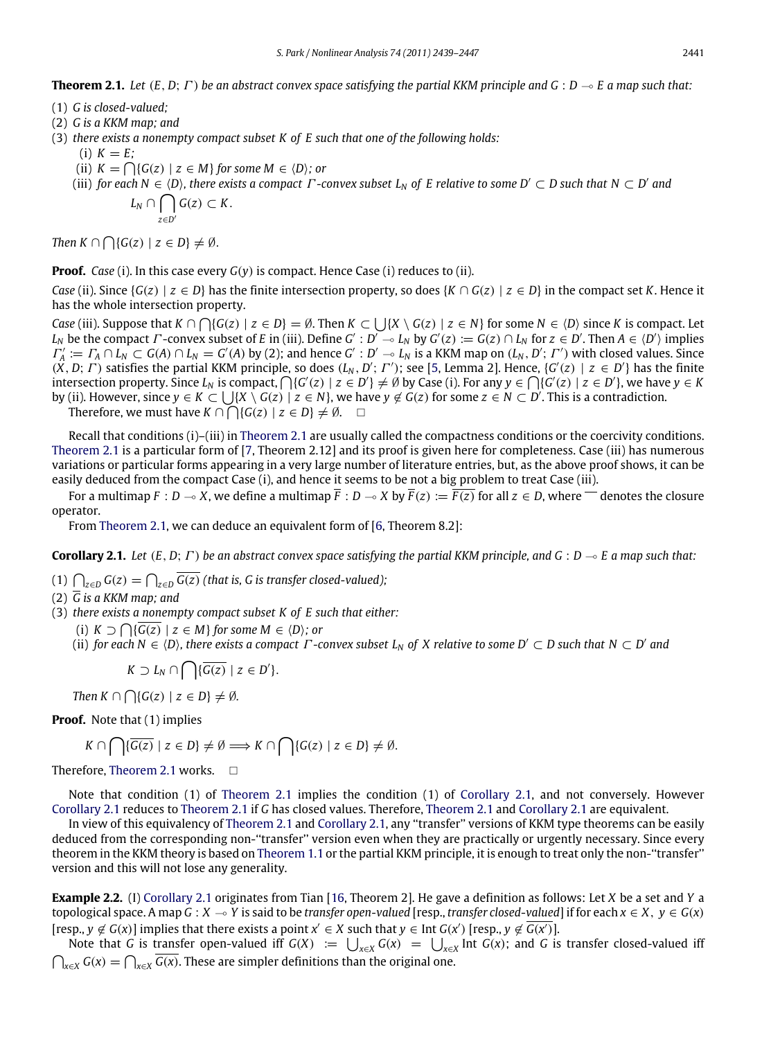- <span id="page-2-0"></span>(1) *G is closed-valued;*
- (2) *G is a KKM map; and*
- (3) *there exists a nonempty compact subset K of E such that one of the following holds:*
	- $(i)$   $K = E$ ;
	- (ii)  $K = \bigcap \{ G(z) \mid z \in M \}$  for some  $M \in \langle D \rangle$ ; or
	- (iii) for each  $N \in (D)$ , there exists a compact  $\Gamma$ -convex subset  $L_N$  of  $E$  relative to some  $D' \subset D$  such that  $N \subset D'$  and  $L_N \cap \bigcap$  $G(z)$  ⊂ *K*.

*Then*  $K \cap \bigcap \{G(z) \mid z \in D\} \neq \emptyset$ .

*z*∈*D*′

**Proof.** *Case* (i). In this case every *G*(*y*) is compact. Hence Case (i) reduces to (ii).

*Case* (ii). Since  $\{G(z) \mid z \in D\}$  has the finite intersection property, so does  $\{K \cap G(z) \mid z \in D\}$  in the compact set *K*. Hence it has the whole intersection property.

*Case* (iii). Suppose that  $K \cap \bigcap \{G(z) \mid z \in D\} = \emptyset$ . Then  $K \subset \bigcup \{X \setminus G(z) \mid z \in N\}$  for some  $N \in \langle D \rangle$  since *K* is compact. Let  $L_N$  be the compact  $\Gamma$ -convex subset of E in (iii). Define  $G': D' \to L_N$  by  $G'(z) := G(z) \cap L_N$  for  $z \in D'$ . Then  $A \in \langle D' \rangle$  implies  $\Gamma'_A := \Gamma_A \cap L_N \subset G(A) \cap L_N = G'(A)$  by (2); and hence  $G': D' \to L_N$  is a KKM map on  $(L_N, D'; \Gamma')$  with closed values. Since  $(X, D; \Gamma)$  satisfies the partial KKM principle, so does  $(L_N, D'; \Gamma')$ ; see [\[5,](#page-8-11) Lemma 2]. Hence,  $\{G'(z) \mid z \in D'\}$  has the finite  $S$  intersection property. Since  $L_N$  is compact,  $\bigcap \{G'(z) \mid z \in D'\} \neq \emptyset$  by Case (i). For any  $y \in \bigcap \{G'(z) \mid z \in D'\}$ , we have  $y \in K$ by (ii). However, since  $y \in K \subset \bigcup \{X \setminus G(z) \mid z \in N\}$ , we have  $y \notin G(z)$  for some  $z \in N \subset D'$ . This is a contradiction.

Therefore, we must have  $K \cap \bigcap \{G(z) \mid z \in D\} \neq \emptyset$ .  $\square$ 

Recall that conditions (i)–(iii) in [Theorem 2.1](#page-2-0) are usually called the compactness conditions or the coercivity conditions. [Theorem 2.1](#page-2-0) is a particular form of [\[7,](#page-8-6) Theorem 2.12] and its proof is given here for completeness. Case (iii) has numerous variations or particular forms appearing in a very large number of literature entries, but, as the above proof shows, it can be easily deduced from the compact Case (i), and hence it seems to be not a big problem to treat Case (iii).

For a multimap  $F : D \to X$ , we define a multimap  $\overline{F} : D \to X$  by  $\overline{F}(z) := \overline{F(z)}$  for all  $z \in D$ , where  $\overline{\phantom{F}}$  denotes the closure operator.

<span id="page-2-1"></span>From [Theorem 2.1,](#page-2-0) we can deduce an equivalent form of [\[6,](#page-8-12) Theorem 8.2]:

**Corollary 2.1.** Let  $(E, D; \Gamma)$  be an abstract convex space satisfying the partial KKM principle, and  $G : D \multimap E$  a map such that:

(1)  $\bigcap_{z \in D} G(z) = \bigcap_{z \in D} \overline{G(z)}$  (that is, G is transfer closed-valued);

- (2) *G is a KKM map; and*
- (3) *there exists a nonempty compact subset K of E such that either:*
	- (i) *K* ⊃  $\bigcap$ { $\overline{G(z)}$  | *z* ∈ *M*} for some *M* ∈  $\langle D \rangle$ ; or
	- (ii) for each  $N \in \langle D \rangle$ , there exists a compact  $\Gamma$ -convex subset  $L_N$  of  $X$  relative to some  $D' \subset D$  such that  $N \subset D'$  and

$$
K \supset L_N \cap \bigcap \{ \overline{G(z)} \mid z \in D' \}.
$$

*Then*  $K \cap \bigcap \{ G(z) \mid z \in D \} \neq \emptyset$ *.* 

**Proof.** Note that (1) implies

$$
K \cap \bigcap \{ \overline{G(z)} \mid z \in D \} \neq \emptyset \Longrightarrow K \cap \bigcap \{ G(z) \mid z \in D \} \neq \emptyset.
$$

Therefore, [Theorem 2.1](#page-2-0) works.

Note that condition (1) of [Theorem 2.1](#page-2-0) implies the condition (1) of [Corollary 2.1,](#page-2-1) and not conversely. However [Corollary 2.1](#page-2-1) reduces to [Theorem 2.1](#page-2-0) if *G* has closed values. Therefore, [Theorem 2.1](#page-2-0) and [Corollary 2.1](#page-2-1) are equivalent.

In view of this equivalency of [Theorem 2.1](#page-2-0) and [Corollary 2.1,](#page-2-1) any ''transfer'' versions of KKM type theorems can be easily deduced from the corresponding non-''transfer'' version even when they are practically or urgently necessary. Since every theorem in the KKM theory is based on [Theorem 1.1](#page-0-1) or the partial KKM principle, it is enough to treat only the non-''transfer'' version and this will not lose any generality.

**Example 2.2.** (I) [Corollary 2.1](#page-2-1) originates from Tian [\[16,](#page-8-13) Theorem 2]. He gave a definition as follows: Let *X* be a set and *Y* a topological space. A map  $G : X \to Y$  is said to be *transfer open-valued* [resp., *transfer closed-valued*] if for each  $x \in X$ ,  $y \in G(x)$  $[resp., y \not\in G(x)]$  implies that there exists a point  $x' \in X$  such that  $y \in \text{Int } G(x')$   $[resp., y \not\in \overline{G(x')}].$ 

Note that *G* is transfer open-valued iff  $G(X) := \bigcup_{x \in X} G(x) = \bigcup_{x \in X} \text{Int } G(x)$ ; and *G* is transfer closed-valued iff  $\bigcap_{x\in X} G(x) = \bigcap_{x\in X} \overline{G(x)}$ . These are simpler definitions than the original one.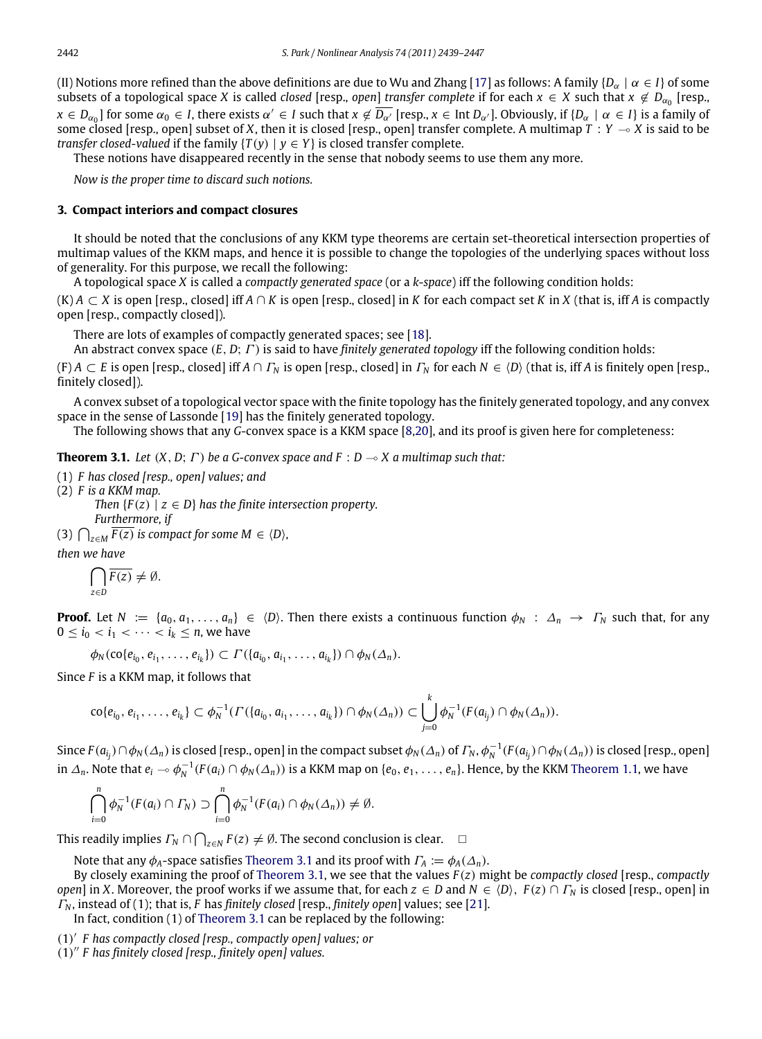(II) Notions more refined than the above definitions are due to Wu and Zhang [\[17\]](#page-8-14) as follows: A family  $\{D_\alpha \mid \alpha \in I\}$  of some subsets of a topological space *X* is called *closed* [resp., *open*] *transfer complete* if for each  $x \in X$  such that  $x \notin D_{\alpha_0}$  [resp.,  $x \in D_{\alpha_0}$ ] for some  $\alpha_0 \in I$ , there exists  $\alpha' \in I$  such that  $x \notin \overline{D_{\alpha'}}$  [resp.,  $x \in$  Int  $D_{\alpha'}$ ]. Obviously, if  $\{D_\alpha \mid \alpha \in I\}$  is a family of some closed [resp., open] subset of *X*, then it is closed [resp., open] transfer complete. A multimap  $T: Y \rightarrow X$  is said to be *transfer closed-valued* if the family  $\{T(v) | v \in Y\}$  is closed transfer complete.

These notions have disappeared recently in the sense that nobody seems to use them any more.

*Now is the proper time to discard such notions.*

### **3. Compact interiors and compact closures**

It should be noted that the conclusions of any KKM type theorems are certain set-theoretical intersection properties of multimap values of the KKM maps, and hence it is possible to change the topologies of the underlying spaces without loss of generality. For this purpose, we recall the following:

A topological space *X* is called a *compactly generated space* (or a *k*-*space*) iff the following condition holds:

 $(K)$  *A*  $\subset$  *X* is open [resp., closed] iff *A*  $\cap$  *K* is open [resp., closed] in *K* for each compact set *K* in *X* (that is, iff *A* is compactly open [resp., compactly closed]).

There are lots of examples of compactly generated spaces; see [\[18\]](#page-8-15).

An abstract convex space (*E*, *D*; Γ ) is said to have *finitely generated topology* iff the following condition holds:

 $(F)$   $A \subset E$  is open [resp., closed] iff  $A \cap F_N$  is open [resp., closed] in  $F_N$  for each  $N \in \langle D \rangle$  (that is, iff A is finitely open [resp., finitely closed]).

A convex subset of a topological vector space with the finite topology has the finitely generated topology, and any convex space in the sense of Lassonde [\[19\]](#page-8-16) has the finitely generated topology.

<span id="page-3-0"></span>The following shows that any *G*-convex space is a KKM space [\[8,](#page-8-3)[20\]](#page-8-17), and its proof is given here for completeness:

**Theorem 3.1.** *Let*  $(X, D; \Gamma)$  *be a G-convex space and*  $F : D \rightarrow X$  *a multimap such that:* 

- (1) *F has closed [resp., open] values; and*
- (2) *F is a KKM map.*

*Then*  ${F(z) \mid z \in D}$  *has the finite intersection property. Furthermore, if*

(3)  $\bigcap_{z \in M} \overline{F(z)}$  *is compact for some M*  $\in \langle D \rangle$ *,* 

*then we have*

$$
\bigcap_{z\in D}\overline{F(z)}\neq\emptyset.
$$

**Proof.** Let  $N := \{a_0, a_1, \ldots, a_n\} \in \langle D \rangle$ . Then there exists a continuous function  $\phi_N : \Delta_n \to \Gamma_N$  such that, for any  $0 \le i_0 < i_1 < \cdots < i_k \le n$ , we have

 $\phi_N(\text{co}\{e_{i_0}, e_{i_1}, \ldots, e_{i_k}\}) \subset \Gamma(\{a_{i_0}, a_{i_1}, \ldots, a_{i_k}\}) \cap \phi_N(\Delta_n).$ 

Since *F* is a KKM map, it follows that

$$
\text{co}\{e_{i_0}, e_{i_1}, \ldots, e_{i_k}\} \subset \phi_N^{-1}(\Gamma(\{a_{i_0}, a_{i_1}, \ldots, a_{i_k}\}) \cap \phi_N(\Delta_n)) \subset \bigcup_{j=0}^k \phi_N^{-1}(F(a_{i_j}) \cap \phi_N(\Delta_n)).
$$

Since  $F(a_{i_j})\cap\phi_N(\varDelta_n)$  is closed [resp., open] in the compact subset  $\phi_N(\varDelta_n)$  of  $\varGamma_N$ ,  $\phi_N^{-1}(F(a_{i_j})\cap\phi_N(\varDelta_n))$  is closed [resp., open] in  $\Delta_n$ . Note that  $e_i \sim \phi_N^{-1}(F(a_i) \cap \phi_N(\Delta_n))$  is a KKM map on  $\{e_0,e_1,\ldots,e_n\}$ . Hence, by the KKM [Theorem 1.1,](#page-0-1) we have

$$
\bigcap_{i=0}^n \phi_N^{-1}(F(a_i) \cap \Gamma_N) \supset \bigcap_{i=0}^n \phi_N^{-1}(F(a_i) \cap \phi_N(\Delta_n)) \neq \emptyset.
$$

This readily implies  $\Gamma_N \cap \bigcap_{z \in N} F(z) \neq \emptyset$ . The second conclusion is clear.  $\Box$ 

Note that any  $\phi_A$ -space satisfies [Theorem 3.1](#page-3-0) and its proof with  $\Gamma_A := \phi_A(\Delta_n)$ .

By closely examining the proof of [Theorem 3.1,](#page-3-0) we see that the values *F* (*z*) might be *compactly closed* [resp., *compactly open*] in *X*. Moreover, the proof works if we assume that, for each  $z \in D$  and  $N \in \langle D \rangle$ ,  $F(z) \cap \Gamma_N$  is closed [resp., open] in Γ*<sup>N</sup>* , instead of (1); that is, *F* has *finitely closed* [resp., *finitely open*] values; see [\[21\]](#page-8-18).

In fact, condition (1) of [Theorem 3.1](#page-3-0) can be replaced by the following:

(1) ′ *F has compactly closed [resp., compactly open] values; or*

(1) ′′ *F has finitely closed [resp., finitely open] values.*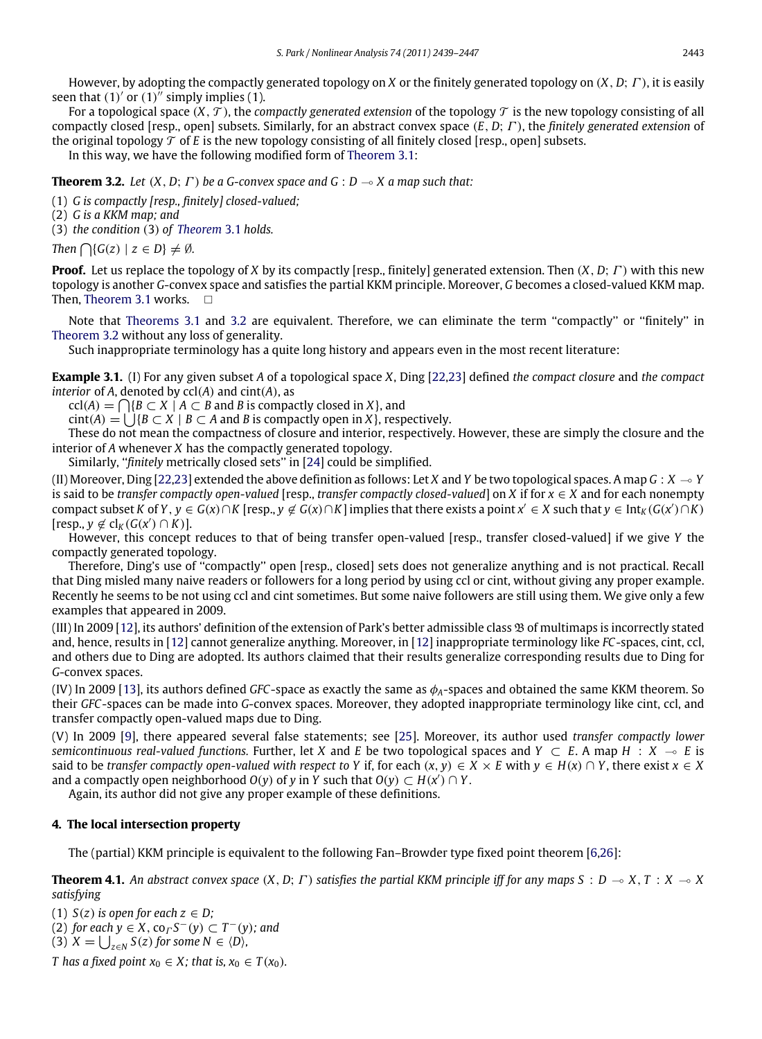However, by adopting the compactly generated topology on *X* or the finitely generated topology on (*X*, *D*; Γ ), it is easily seen that  $(1)'$  or  $(1)''$  simply implies  $(1)$ .

For a topological space  $(X, \mathcal{T})$ , the *compactly generated extension* of the topology  $\mathcal{T}$  is the new topology consisting of all compactly closed [resp., open] subsets. Similarly, for an abstract convex space (*E*, *D*; Γ ), the *finitely generated extension* of the original topology  $\mathcal T$  of *E* is the new topology consisting of all finitely closed [resp., open] subsets.

<span id="page-4-0"></span>In this way, we have the following modified form of [Theorem 3.1:](#page-3-0)

**Theorem 3.2.** *Let*  $(X, D; \Gamma)$  *be a G-convex space and G* :  $D \rightarrow X$  *a map such that:* 

(1) *G is compactly [resp., finitely] closed-valued;*

(2) *G is a KKM map; and*

(3) *the condition* (3) *of [Theorem](#page-3-0)* 3.1 *holds.*

*Then*  $\bigcap \{G(z) \mid z \in D\} \neq \emptyset$ *.* 

**Proof.** Let us replace the topology of *X* by its compactly [resp., finitely] generated extension. Then (*X*, *D*; Γ ) with this new topology is another *G*-convex space and satisfies the partial KKM principle. Moreover, *G* becomes a closed-valued KKM map. Then, [Theorem 3.1](#page-3-0) works. □

Note that [Theorems 3.1](#page-3-0) and [3.2](#page-4-0) are equivalent. Therefore, we can eliminate the term ''compactly'' or ''finitely'' in [Theorem 3.2](#page-4-0) without any loss of generality.

Such inappropriate terminology has a quite long history and appears even in the most recent literature:

**Example 3.1.** (I) For any given subset *A* of a topological space *X*, Ding [\[22](#page-8-19)[,23\]](#page-8-20) defined *the compact closure* and *the compact interior* of *A*, denoted by ccl(*A*) and cint(*A*), as

 $\text{ccl}(A) = \bigcap \{ B \subset X \mid A \subset B \text{ and } B \text{ is compactly closed in } X \},\$ and

 $\text{cint}(A) = \bigcup \{B \subset X \mid B \subset A \text{ and } B \text{ is compactly open in } X\},\$ respectively.

These do not mean the compactness of closure and interior, respectively. However, these are simply the closure and the interior of *A* whenever *X* has the compactly generated topology.

Similarly, ''*finitely* metrically closed sets'' in [\[24\]](#page-8-21) could be simplified.

(II) Moreover, Ding [\[22,](#page-8-19)[23\]](#page-8-20) extended the above definition as follows: Let *X* and *Y* be two topological spaces. A map  $G : X \to Y$ is said to be *transfer compactly open-valued* [resp., *transfer compactly closed-valued*] on *X* if for  $x \in X$  and for each nonempty compact subset K of Y,  $y\in G(x)\cap K$  [resp.,  $y\not\in G(x)\cap K$ ] implies that there exists a point  $x'\in X$  such that  $y\in \text{Int}_K(G(x')\cap K)$  $[resp., y \notin cl<sub>K</sub>(G(x') \cap K)].$ 

However, this concept reduces to that of being transfer open-valued [resp., transfer closed-valued] if we give *Y* the compactly generated topology.

Therefore, Ding's use of ''compactly'' open [resp., closed] sets does not generalize anything and is not practical. Recall that Ding misled many naive readers or followers for a long period by using ccl or cint, without giving any proper example. Recently he seems to be not using ccl and cint sometimes. But some naive followers are still using them. We give only a few examples that appeared in 2009.

(III) In 2009 [\[12\]](#page-8-22), its authors' definition of the extension of Park's better admissible class B of multimaps is incorrectly stated and, hence, results in [\[12\]](#page-8-22) cannot generalize anything. Moreover, in [\[12\]](#page-8-22) inappropriate terminology like *FC*-spaces, cint, ccl, and others due to Ding are adopted. Its authors claimed that their results generalize corresponding results due to Ding for *G*-convex spaces.

(IV) In 2009 [\[13\]](#page-8-10), its authors defined *GFC*-space as exactly the same as φ*A*-spaces and obtained the same KKM theorem. So their *GFC*-spaces can be made into *G*-convex spaces. Moreover, they adopted inappropriate terminology like cint, ccl, and transfer compactly open-valued maps due to Ding.

(V) In 2009 [\[9\]](#page-8-4), there appeared several false statements; see [\[25\]](#page-8-23). Moreover, its author used *transfer compactly lower semicontinuous real-valued functions.* Further, let *X* and *E* be two topological spaces and *Y* ⊂ *E*. A map *H* : *X*  $\sim$  *E* is said to be *transfer compactly open-valued with respect to Y if, for each*  $(x, y) \in X \times E$  *with*  $y \in H(x) \cap Y$ *, there exist*  $x \in X$ and a compactly open neighborhood  $O(y)$  of *y* in *Y* such that  $O(y) \subset H(x') \cap Y$ .

Again, its author did not give any proper example of these definitions.

## **4. The local intersection property**

<span id="page-4-1"></span>The (partial) KKM principle is equivalent to the following Fan–Browder type fixed point theorem [\[6,](#page-8-12)[26\]](#page-8-24):

**Theorem 4.1.** An abstract convex space  $(X, D; \Gamma)$  satisfies the partial KKM principle iff for any maps  $S: D \to X, T: X \to X$ *satisfying*

(1)  $S(z)$  *is open for each*  $z \in D$ ;

 $(2)$  *for each*  $y \in X$ , co<sub>Γ</sub>  $S$ <sup>−</sup> $(y)$  ⊂  $T$ <sup>−</sup> $(y)$ *; and* 

 $(3)$   $X = \bigcup_{z \in N} S(z)$  for some  $N \in \langle D \rangle$ ,

*T* has a fixed point  $x_0 \in X$ ; that is,  $x_0 \in T(x_0)$ .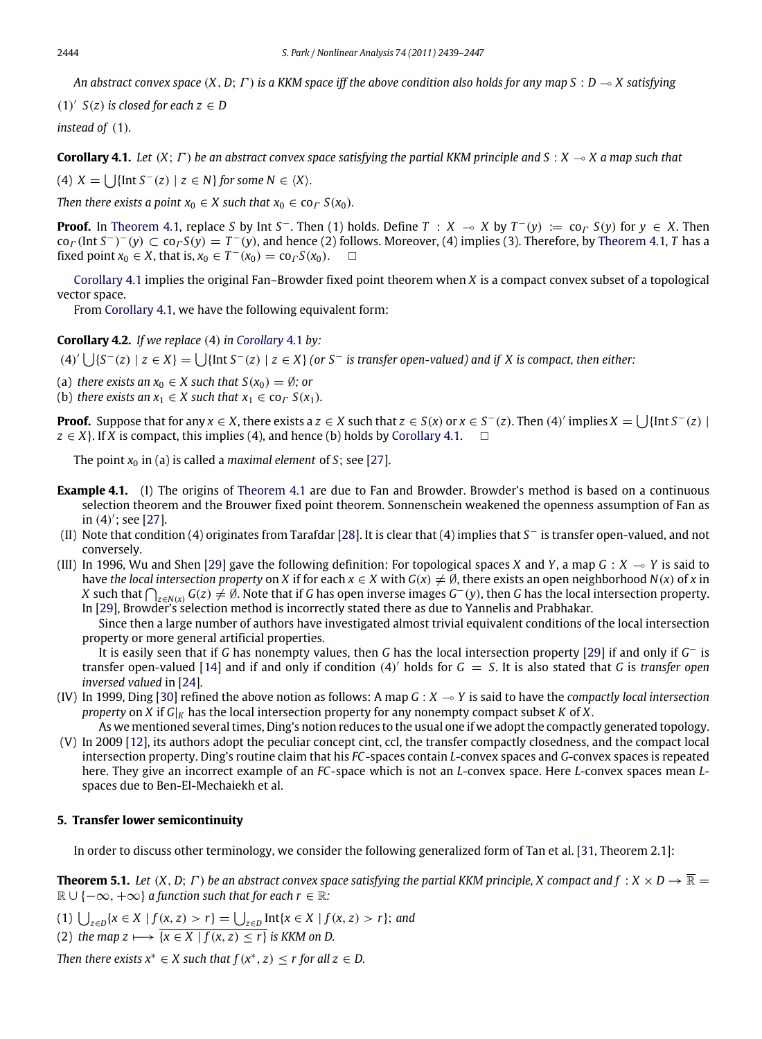*An abstract convex space* (*X*, *D*; Γ ) *is a KKM space iff the above condition also holds for any map S* : *D* ( *X satisfying*

(1)<sup> $\prime$ </sup>  $S(z)$  is closed for each  $z \in D$ 

*instead of* (1)*.*

<span id="page-5-0"></span>**Corollary 4.1.** Let  $(X; \Gamma)$  be an abstract convex space satisfying the partial KKM principle and  $S: X \to X$  a map such that

(4)  $X = \bigcup \{ \text{Int } S^{-}(z) \mid z \in N \} \text{ for some } N \in \langle X \rangle$ *.* 

*Then there exists a point*  $x_0 \in X$  *such that*  $x_0 \in$  co<sub> $\Gamma$ </sub>  $S(x_0)$ *.* 

**Proof.** In [Theorem 4.1,](#page-4-1) replace *S* by Int *S*<sup>-</sup>. Then (1) holds. Define  $T : X \to X$  by  $T^-(y) := \text{co}_T S(y)$  for  $y \in X$ . Then  $co_\Gamma(\text{Int }S^-)^-(y) \subset co_\Gamma S(y) = T^-(y)$ , and hence (2) follows. Moreover, (4) implies (3). Therefore, by [Theorem 4.1,](#page-4-1) *T* has a fixed point  $x_0 \in X$ , that is,  $x_0 \in T^-(x_0) = \text{co}_\Gamma S(x_0)$ .  $\Box$ 

[Corollary 4.1](#page-5-0) implies the original Fan–Browder fixed point theorem when *X* is a compact convex subset of a topological vector space.

From [Corollary 4.1,](#page-5-0) we have the following equivalent form:

**Corollary 4.2.** *If we replace* (4) *in [Corollary](#page-5-0)* 4.1 *by:*

 $(4)'$   $\bigcup$ {*S*<sup>−</sup>(*z*) | *z* ∈ *X*} =  $\bigcup$ {Int *S*<sup>−</sup>(*z*) | *z* ∈ *X*} (or *S*<sup>−</sup> is transfer open-valued) and if *X* is compact, then either:

- (a) *there exists an*  $x_0 \in X$  *such that*  $S(x_0) = \emptyset$ *; or*
- (b) *there exists an*  $x_1 \in X$  *such that*  $x_1 \in$  co<sub> $\Gamma$ </sub>  $S(x_1)$ *.*

**Proof.** Suppose that for any  $x \in X$ , there exists a  $z \in X$  such that  $z \in S(x)$  or  $x \in S^-(z)$ . Then  $(4)'$  implies  $X = \bigcup \{\text{Int } S^-(z) \mid S^-(z) = \text{Int } S^-(z) \}$  $z \in X$ }. If *X* is compact, this implies (4), and hence (b) holds by [Corollary 4.1.](#page-5-0)  $\Box$ 

The point  $x_0$  in (a) is called a *maximal element* of *S*; see [\[27\]](#page-8-25).

- **Example 4.1.** (I) The origins of [Theorem 4.1](#page-4-1) are due to Fan and Browder. Browder's method is based on a continuous selection theorem and the Brouwer fixed point theorem. Sonnenschein weakened the openness assumption of Fan as in (4) ′ ; see [\[27\]](#page-8-25).
- (II) Note that condition (4) originates from Tarafdar [\[28\]](#page-8-26). It is clear that (4) implies that *S* <sup>−</sup> is transfer open-valued, and not conversely.
- (III) In 1996, Wu and Shen [\[29\]](#page-8-27) gave the following definition: For topological spaces *X* and *Y*, a map  $G : X \to Y$  is said to have *the local intersection property* on *X* if for each  $x \in X$  with  $G(x) \neq \emptyset$ , there exists an open neighborhood  $N(x)$  of *x* in *X* such that  $\bigcap_{z \in N(x)} G(z) \neq \emptyset$ . Note that if *G* has open inverse images *G*<sup>−</sup>(*y*), then *G* has the local intersection property. In [\[29\]](#page-8-27), Browder's selection method is incorrectly stated there as due to Yannelis and Prabhakar.

Since then a large number of authors have investigated almost trivial equivalent conditions of the local intersection property or more general artificial properties.

It is easily seen that if *G* has nonempty values, then *G* has the local intersection property [\[29\]](#page-8-27) if and only if *G* <sup>−</sup> is transfer open-valued [\[14\]](#page-8-7) and if and only if condition (4) ′ holds for *G* = *S*. It is also stated that *G* is *transfer open inversed valued* in [\[24\]](#page-8-21).

- (IV) In 1999, Ding [\[30\]](#page-8-28) refined the above notion as follows: A map  $G : X \rightarrow Y$  is said to have the *compactly local intersection property* on *X* if  $G|_K$  has the local intersection property for any nonempty compact subset *K* of *X*.
- As we mentioned several times, Ding's notion reduces to the usual one if we adopt the compactly generated topology. (V) In 2009 [\[12\]](#page-8-22), its authors adopt the peculiar concept cint, ccl, the transfer compactly closedness, and the compact local intersection property. Ding's routine claim that his *FC*-spaces contain *L*-convex spaces and *G*-convex spaces is repeated here. They give an incorrect example of an *FC*-space which is not an *L*-convex space. Here *L*-convex spaces mean *L*spaces due to Ben-El-Mechaiekh et al.

#### **5. Transfer lower semicontinuity**

<span id="page-5-1"></span>In order to discuss other terminology, we consider the following generalized form of Tan et al. [\[31,](#page-8-29) Theorem 2.1]:

**Theorem 5.1.** Let  $(X, D; \Gamma)$  be an abstract convex space satisfying the partial KKM principle, X compact and  $f : X \times D \to \overline{\mathbb{R}}$  =  $\mathbb{R} \cup \{-\infty, +\infty\}$  *a function such that for each r*  $\in \mathbb{R}$ *:* 

(1)  $\bigcup_{z \in D} \{x \in X \mid f(x, z) > r\} = \bigcup_{z \in D} \text{Int}\{x \in X \mid f(x, z) > r\};$  and

(2) *the map z*  $\longmapsto$   $\overline{\{x \in X \mid f(x, z) \leq r\}}$  *is KKM on D.* 

*Then there exists*  $x^* \in X$  *such that*  $f(x^*, z) \leq r$  *for all*  $z \in D$ *.*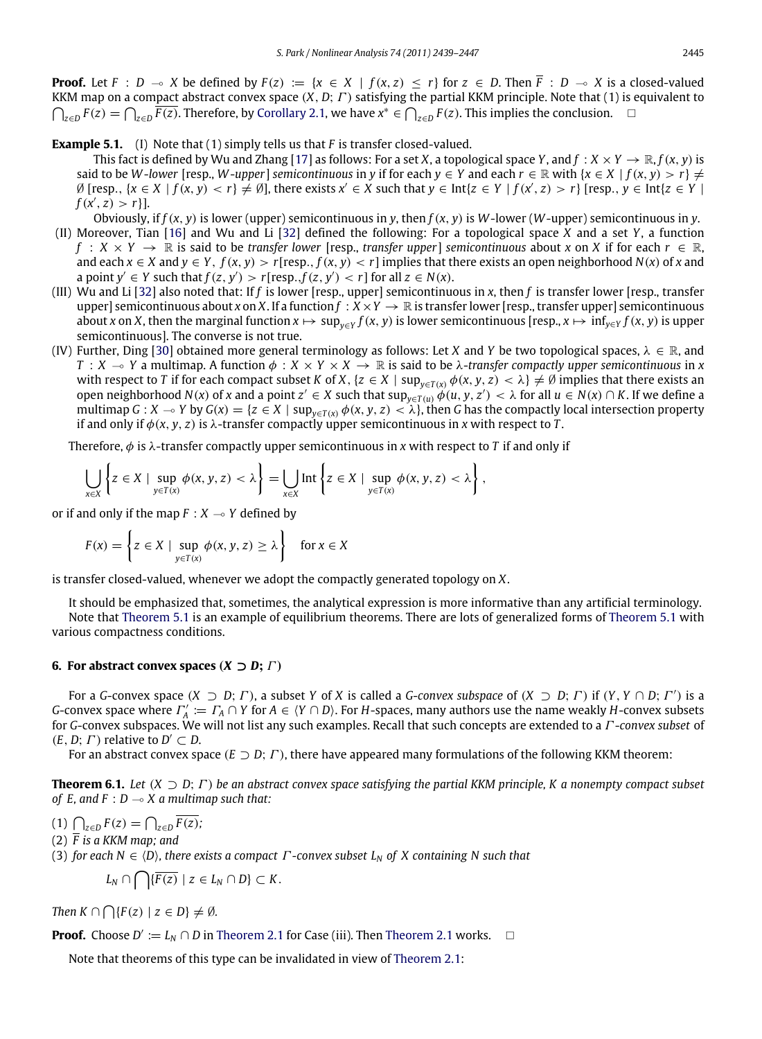**Proof.** Let  $F : D \to X$  be defined by  $F(z) := \{x \in X \mid f(x, z) \le r\}$  for  $z \in D$ . Then  $\overline{F} : D \to X$  is a closed-valued KKM map on a compact abstract convex space  $(X, D; \Gamma)$  satisfying the partial KKM principle. Note that (1) is equivalent to  $\bigcap_{z\in D} F(z) = \bigcap_{z\in D} \overline{F(z)}$ . Therefore, by [Corollary 2.1,](#page-2-1) we have  $x^* \in \bigcap_{z\in D} F(z)$ . This implies the conclusion. □

**Example 5.1.** (I) Note that (1) simply tells us that *F* is transfer closed-valued.

This fact is defined by Wu and Zhang [\[17\]](#page-8-14) as follows: For a set *X*, a topological space *Y*, and  $f: X \times Y \to \mathbb{R}$ ,  $f(x, y)$  is said to be *W*-*lower* [resp., *W*-*upper*] *semicontinuous* in *y* if for each  $y \in Y$  and each  $r \in \mathbb{R}$  with  $\{x \in X \mid f(x, y) > r\} \neq$  $\emptyset$  [resp.,  $\{x \in X \mid f(x, y) < r\} \neq \emptyset$ ], there exists  $x' \in X$  such that  $y \in \text{Int}\{z \in Y \mid f(x', z) > r\}$  [resp.,  $y \in \text{Int}\{z \in Y \mid f(x', z) > r\}$ ]  $f(x', z) > r$ ].

- Obviously, if *f*(*x*, *y*) is lower (upper) semicontinuous in *y*, then *f*(*x*, *y*) is *W*-lower (*W*-upper) semicontinuous in *y*. (II) Moreover, Tian [\[16\]](#page-8-13) and Wu and Li [\[32\]](#page-8-30) defined the following: For a topological space *X* and a set *Y*, a function  $f: X \times Y \to \mathbb{R}$  is said to be *transfer lower* [resp., *transfer upper*] *semicontinuous* about *x* on *X* if for each  $r \in \mathbb{R}$ , and each  $x \in X$  and  $y \in Y$ ,  $f(x, y) > r$ [resp.,  $f(x, y) < r$ ] implies that there exists an open neighborhood  $N(x)$  of *x* and a point  $y' \in Y$  such that  $f(z, y') > r$  [resp.,  $f(z, y') < r$ ] for all  $z \in N(x)$ .
- (III) Wu and Li [\[32\]](#page-8-30) also noted that: If *f* is lower [resp., upper] semicontinuous in *x*, then *f* is transfer lower [resp., transfer upper] semicontinuous about *x* on *X*. If a function  $f: X \times Y \to \mathbb{R}$  is transfer lower [resp., transfer upper] semicontinuous about *x* on *X*, then the marginal function  $x \mapsto \sup_{y \in Y} f(x, y)$  is lower semicontinuous [resp.,  $x \mapsto \inf_{y \in Y} f(x, y)$  is upper semicontinuous]. The converse is not true.
- (IV) Further, Ding [\[30\]](#page-8-28) obtained more general terminology as follows: Let *X* and *Y* be two topological spaces,  $\lambda \in \mathbb{R}$ , and *T* : *X*  $\sim$  *Y* a multimap. A function  $\phi$  : *X* × *Y* × *X*  $\rightarrow$  R is said to be  $\lambda$ -transfer compactly upper semicontinuous in *x* with respect to *T* if for each compact subset *K* of *X*, { $z \in X \mid \sup_{y \in T(x)} \phi(x, y, z) < \lambda$ }  $\neq \emptyset$  implies that there exists an open neighborhood  $N(x)$  of x and a point  $z' \in X$  such that  $\sup_{y \in T(u)} \phi(u, y, z') < \lambda$  for all  $u \in N(x) \cap K$ . If we define a multimap  $G : X \to Y$  by  $G(x) = \{z \in X \mid \sup_{y \in T(x)} \phi(x, y, z) < \lambda\}$ , then *G* has the compactly local intersection property if and only if  $φ(x, y, z)$  is  $λ$ -transfer compactly upper semicontinuous in *x* with respect to *T*.

Therefore,  $\phi$  is  $\lambda$ -transfer compactly upper semicontinuous in x with respect to T if and only if

$$
\bigcup_{x\in X}\left\{z\in X\mid \sup_{y\in T(x)}\phi(x,y,z)<\lambda\right\}=\bigcup_{x\in X}\text{Int}\left\{z\in X\mid \sup_{y\in T(x)}\phi(x,y,z)<\lambda\right\},
$$

or if and only if the map  $F : X \rightarrow Y$  defined by

$$
F(x) = \left\{ z \in X \mid \sup_{y \in T(x)} \phi(x, y, z) \ge \lambda \right\} \quad \text{for } x \in X
$$

is transfer closed-valued, whenever we adopt the compactly generated topology on *X*.

It should be emphasized that, sometimes, the analytical expression is more informative than any artificial terminology. Note that [Theorem 5.1](#page-5-1) is an example of equilibrium theorems. There are lots of generalized forms of [Theorem 5.1](#page-5-1) with various compactness conditions.

#### **6. For abstract convex spaces (** $X \supseteq D$ **;**  $\Gamma$ )

For a *G*-convex space  $(X \supset D; \Gamma)$ , a subset *Y* of *X* is called a *G*-convex subspace of  $(X \supset D; \Gamma)$  if  $(Y, Y \cap D; \Gamma')$  is a *G*-convex space where  $\Gamma'_A := \Gamma_A \cap Y$  for  $A \in \{Y \cap D\}$ . For *H*-spaces, many authors use the name weakly *H*-convex subsets for *G*-convex subspaces. We will not list any such examples. Recall that such concepts are extended to a Γ -*convex subset* of  $(E, D; \Gamma)$  relative to  $D' \subset D$ .

<span id="page-6-0"></span>For an abstract convex space (*E* ⊃ *D*; Γ ), there have appeared many formulations of the following KKM theorem:

**Theorem 6.1.** *Let* (*X* ⊃ *D*; Γ ) *be an abstract convex space satisfying the partial KKM principle, K a nonempty compact subset of E, and F : D*  $\sim$  *X a multimap such that:* 

(1)  $\bigcap_{z \in D} F(z) = \bigcap_{z \in D} \overline{F(z)};$ 

(2) *F is a KKM map; and*

(3) *for each N* ∈ ⟨*D*⟩*, there exists a compact* Γ *-convex subset L<sup>N</sup> of X containing N such that*

$$
L_N\cap\bigcap\{\overline{F(z)}\mid z\in L_N\cap D\}\subset K.
$$

*Then*  $K \cap \bigcap \{F(z) \mid z \in D\} \neq \emptyset$ *.* 

**Proof.** Choose  $D' := L_N \cap D$  in [Theorem 2.1](#page-2-0) for Case (iii). Then Theorem 2.1 works.  $\Box$ 

Note that theorems of this type can be invalidated in view of [Theorem 2.1:](#page-2-0)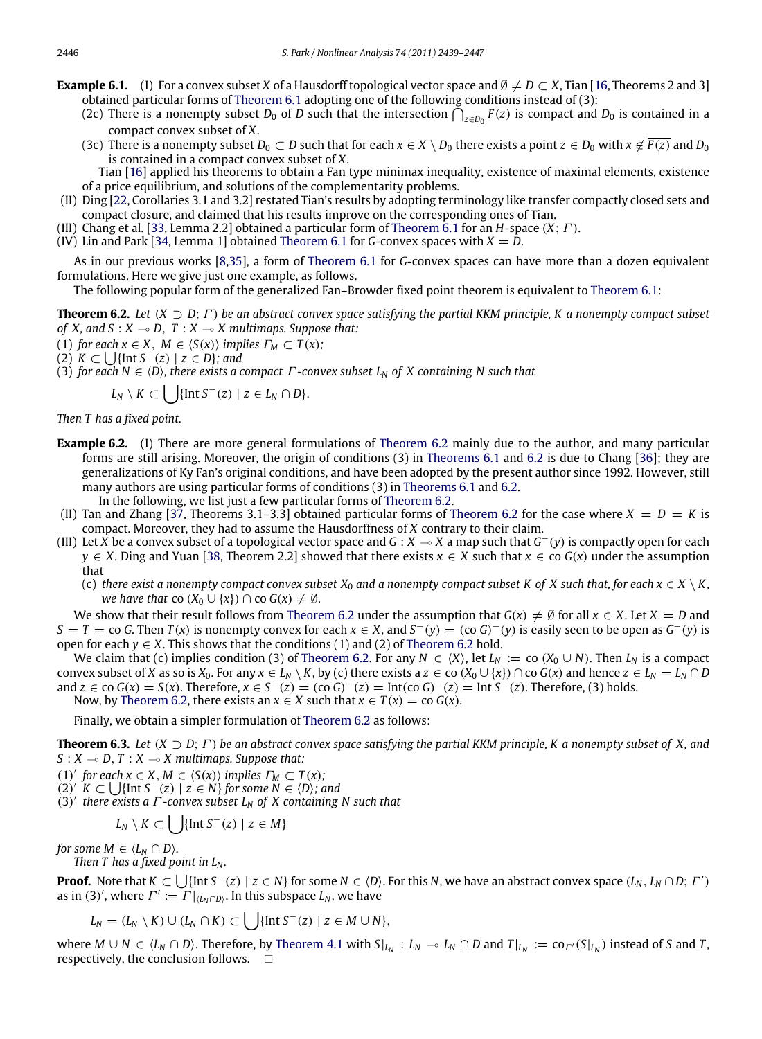- **Example 6.1.** (I) For a convex subset *X* of a Hausdorff topological vector space and  $\emptyset \neq D \subset X$ , Tian [\[16,](#page-8-13) Theorems 2 and 3] obtained particular forms of [Theorem 6.1](#page-6-0) adopting one of the following conditions instead of (3):
	- (2c) There is a nonempty subset  $D_0$  of  $D$  such that the intersection  $\bigcap_{z\in D_0} F(z)$  is compact and  $D_0$  is contained in a compact convex subset of *X*.
	- (3c) There is a nonempty subset  $D_0 \subset D$  such that for each  $x \in X \setminus D_0$  there exists a point  $z \in D_0$  with  $x \notin \overline{F(z)}$  and  $D_0$ is contained in a compact convex subset of *X*.
	- Tian [\[16\]](#page-8-13) applied his theorems to obtain a Fan type minimax inequality, existence of maximal elements, existence of a price equilibrium, and solutions of the complementarity problems.
- (II) Ding [\[22,](#page-8-19) Corollaries 3.1 and 3.2] restated Tian's results by adopting terminology like transfer compactly closed sets and compact closure, and claimed that his results improve on the corresponding ones of Tian.
- (III) Chang et al. [\[33,](#page-8-31) Lemma 2.2] obtained a particular form of [Theorem 6.1](#page-6-0) for an *H*-space (*X*; Γ ).
- $(K)$  Lin and Park [\[34,](#page-8-32) Lemma 1] obtained [Theorem 6.1](#page-6-0) for *G*-convex spaces with  $X = D$ .

As in our previous works [\[8,](#page-8-3)[35\]](#page-8-33), a form of [Theorem 6.1](#page-6-0) for *G*-convex spaces can have more than a dozen equivalent formulations. Here we give just one example, as follows.

<span id="page-7-0"></span>The following popular form of the generalized Fan–Browder fixed point theorem is equivalent to [Theorem 6.1:](#page-6-0)

**Theorem 6.2.** *Let* (*X* ⊃ *D*; Γ ) *be an abstract convex space satisfying the partial KKM principle, K a nonempty compact subset of X, and S :*  $X \rightarrow D$ *, T :*  $X \rightarrow X$  *multimaps. Suppose that:* 

(1) for each 
$$
x \in X
$$
,  $M \in \langle S(x) \rangle$  implies  $\Gamma_M \subset T(x)$ ;

(2)  $K$  ⊂  $\bigcup$ {Int  $S^{-}(z) \mid z \in D$ }*;* and

(3) *for each N* ∈ ⟨*D*⟩*, there exists a compact* Γ *-convex subset L<sup>N</sup> of X containing N such that*

$$
L_N \setminus K \subset \bigcup \{ \text{Int } S^-(z) \mid z \in L_N \cap D \}.
$$

*Then T has a fixed point.*

- **Example 6.2.** (I) There are more general formulations of [Theorem 6.2](#page-7-0) mainly due to the author, and many particular forms are still arising. Moreover, the origin of conditions (3) in [Theorems 6.1](#page-6-0) and [6.2](#page-7-0) is due to Chang [\[36\]](#page-8-34); they are generalizations of Ky Fan's original conditions, and have been adopted by the present author since 1992. However, still many authors are using particular forms of conditions (3) in [Theorems 6.1](#page-6-0) and [6.2.](#page-7-0) In the following, we list just a few particular forms of [Theorem 6.2.](#page-7-0)
- (II) Tan and Zhang  $[37,$  Theorems 3.1–3.3] obtained particular forms of [Theorem 6.2](#page-7-0) for the case where  $X = D = K$  is compact. Moreover, they had to assume the Hausdorffness of *X* contrary to their claim.
- (III) Let *X* be a convex subset of a topological vector space and *G* : *X* ( *X* a map such that *G* <sup>−</sup>(*y*) is compactly open for each *y* ∈ *X*. Ding and Yuan [\[38,](#page-8-36) Theorem 2.2] showed that there exists *x* ∈ *X* such that *x* ∈ co *G*(*x*) under the assumption that

(c) *there exist a nonempty compact convex subset*  $X_0$  *and a nonempty compact subset K of X such that, for each*  $x \in X \setminus K$ *, we have that* co  $(X_0 \cup \{x\}) \cap$  co  $G(x) \neq \emptyset$ .

We show that their result follows from [Theorem 6.2](#page-7-0) under the assumption that  $G(x) \neq \emptyset$  for all  $x \in X$ . Let  $X = D$  and  $S = T =$  co *G*. Then  $T(x)$  is nonempty convex for each  $x \in X$ , and  $S^{-}(y) =$  (co  $G$ )<sup>-</sup>(*y*) is easily seen to be open as  $G^{-}(y)$  is open for each  $y \in X$ . This shows that the conditions (1) and (2) of [Theorem 6.2](#page-7-0) hold.

We claim that (c) implies condition (3) of [Theorem 6.2.](#page-7-0) For any  $N \in \langle X \rangle$ , let  $L_N := \text{co } (X_0 \cup N)$ . Then  $L_N$  is a compact convex subset of X as so is  $X_0$ . For any  $x \in L_N \setminus K$ , by (c) there exists  $az \in \text{co } (X_0 \cup \{x\}) \cap \text{co } G(x)$  and hence  $z \in L_N \cap D$ and *z* ∈ co *G*(*x*) = *S*(*x*). Therefore, *x* ∈ *S*<sup>−</sup>(*z*) = (co *G*)<sup>−</sup>(*z*) = Int(co *G*)<sup>−</sup>(*z*) = Int *S*<sup>−</sup>(*z*). Therefore, (3) holds. Now, by [Theorem 6.2,](#page-7-0) there exists an  $x \in X$  such that  $x \in T(x) = \text{co } G(x)$ .

Finally, we obtain a simpler formulation of [Theorem 6.2](#page-7-0) as follows:

**Theorem 6.3.** *Let* (*X* ⊃ *D*; Γ ) *be an abstract convex space satisfying the partial KKM principle, K a nonempty subset of X, and*  $S: X \rightarrow D, T: X \rightarrow X$  multimaps. Suppose that:

- (1)<sup>'</sup> for each  $x \in X$ ,  $M \in \langle S(x) \rangle$  *implies*  $\Gamma_M \subset T(x)$ ;
- (2)<sup>*'*</sup>  $K$  ⊂  $\bigcup$ {Int  $S^{-}(z)$  |  $z \in N$ } for some  $N \in \langle D \rangle$ *; and*
- (3) ′ *there exists a* Γ *-convex subset L<sup>N</sup> of X containing N such that*

$$
L_N \setminus K \subset \bigcup \{\text{Int } S^-(z) \mid z \in M\}
$$

*for some M*  $\in \langle L_N \cap D \rangle$ *.* 

*Then T has a fixed point in L<sup>N</sup> .*

**Proof.** Note that  $K \subset \bigcup \{ \text{Int } S^-(z) \mid z \in N \}$  for some  $N \in \langle D \rangle$ . For this  $N$ , we have an abstract convex space  $(L_N, L_N \cap D; \Gamma')$ as in (3)', where  $\Gamma' := \Gamma|_{\langle L_N \cap D \rangle}$ . In this subspace  $L_N$ , we have

$$
L_N = (L_N \setminus K) \cup (L_N \cap K) \subset \bigcup \{\text{Int } S^-(z) \mid z \in M \cup N\},\
$$

where  $M\cup N \in \langle L_N\cap D\rangle$ . Therefore, by [Theorem 4.1](#page-4-1) with  $S|_{L_N}: L_N\to L_N\cap D$  and  $T|_{L_N}:=\text{co}_{\Gamma'}(S|_{L_N})$  instead of S and T, respectively, the conclusion follows.  $\square$